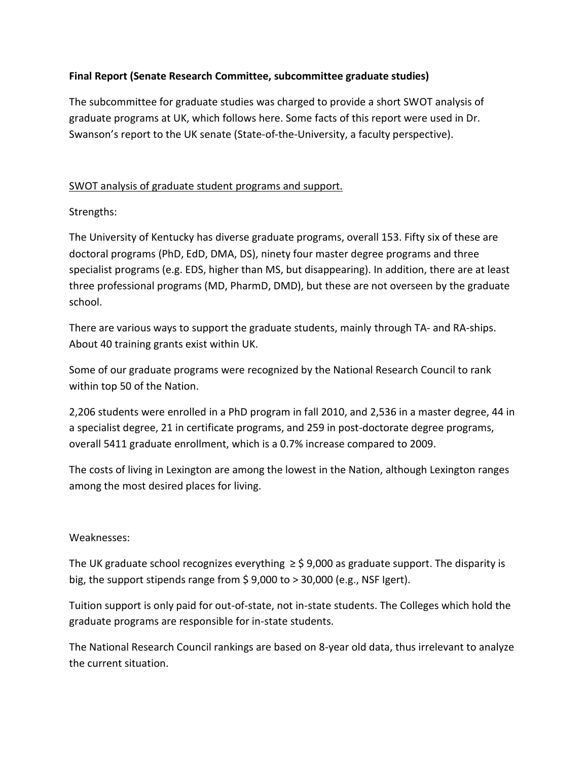# **Final Report (Senate Research Committee, subcommittee graduate studies)**

The subcommittee for graduate studies was charged to provide a short SWOT analysis of graduate programs at UK, which follows here. Some facts of this report were used in Dr. Swanson's report to the UK senate (State-of-the-University, a faculty perspective).

## SWOT analysis of graduate student programs and support.

# Strengths:

The University of Kentucky has diverse graduate programs, overall 153. Fifty six of these are doctoral programs (PhD, EdD, DMA, DS), ninety four master degree programs and three specialist programs (e.g. EDS, higher than MS, but disappearing). In addition, there are at least three professional programs (MD, PharmD, DMD), but these are not overseen by the graduate school.

There are various ways to support the graduate students, mainly through TA- and RA-ships. About 40 training grants exist within UK.

Some of our graduate programs were recognized by the National Research Council to rank within top 50 of the Nation.

2,206 students were enrolled in a PhD program in fall 2010, and 2,536 in a master degree, 44 in a specialist degree, 21 in certificate programs, and 259 in post-doctorate degree programs, overall 5411 graduate enrollment, which is a 0.7% increase compared to 2009.

The costs of living in Lexington are among the lowest in the Nation, although Lexington ranges among the most desired places for living.

### Weaknesses:

The UK graduate school recognizes everything  $\geq$  \$ 9,000 as graduate support. The disparity is big, the support stipends range from \$ 9,000 to > 30,000 (e.g., NSF Igert).

Tuition support is only paid for out-of-state, not in-state students. The Colleges which hold the graduate programs are responsible for in-state students.

The National Research Council rankings are based on 8-year old data, thus irrelevant to analyze the current situation.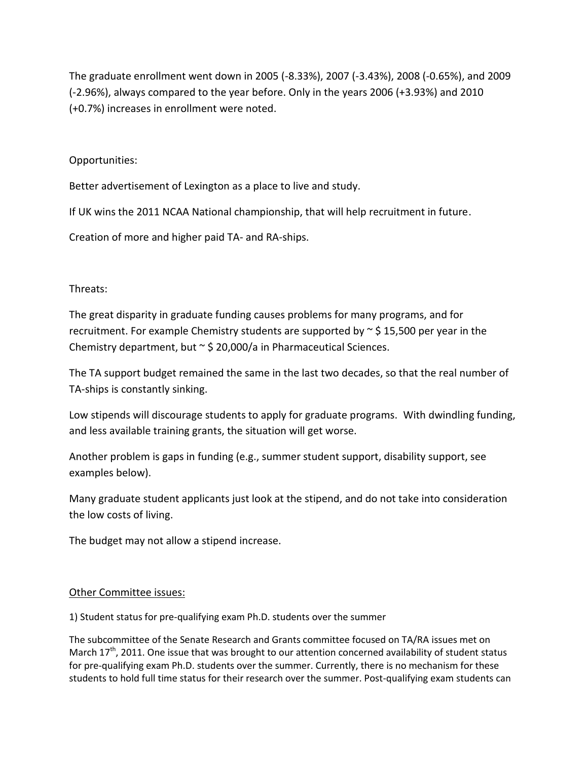The graduate enrollment went down in 2005 (-8.33%), 2007 (-3.43%), 2008 (-0.65%), and 2009 (-2.96%), always compared to the year before. Only in the years 2006 (+3.93%) and 2010 (+0.7%) increases in enrollment were noted.

## Opportunities:

Better advertisement of Lexington as a place to live and study.

If UK wins the 2011 NCAA National championship, that will help recruitment in future.

Creation of more and higher paid TA- and RA-ships.

### Threats:

The great disparity in graduate funding causes problems for many programs, and for recruitment. For example Chemistry students are supported by  $\sim$  \$ 15,500 per year in the Chemistry department, but  $\sim$  \$ 20,000/a in Pharmaceutical Sciences.

The TA support budget remained the same in the last two decades, so that the real number of TA-ships is constantly sinking.

Low stipends will discourage students to apply for graduate programs. With dwindling funding, and less available training grants, the situation will get worse.

Another problem is gaps in funding (e.g., summer student support, disability support, see examples below).

Many graduate student applicants just look at the stipend, and do not take into consideration the low costs of living.

The budget may not allow a stipend increase.

### Other Committee issues:

1) Student status for pre-qualifying exam Ph.D. students over the summer

The subcommittee of the Senate Research and Grants committee focused on TA/RA issues met on March  $17<sup>th</sup>$ , 2011. One issue that was brought to our attention concerned availability of student status for pre-qualifying exam Ph.D. students over the summer. Currently, there is no mechanism for these students to hold full time status for their research over the summer. Post-qualifying exam students can